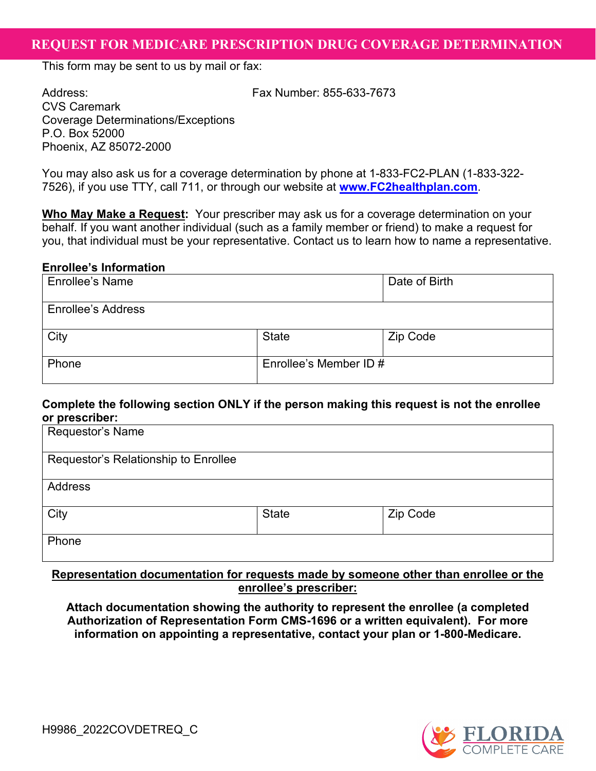## 2REQUEST FOR MEDICARE PRESCRIPTION DRUG COVERAGE DETERMINATION **REQUEST FOR MEDICARE PRESCRIPTION DRUG COVERAGE DETERMINATION**

This form may be sent to us by mail or fax:

Address: Fax Number: 855-633-7673

CVS Caremark Coverage Determinations/Exceptions P.O. Box 52000 Phoenix, AZ 85072-2000

You may also ask us for a coverage determination by phone at 1-833-FC2-PLAN (1-833-322- 7526), if you use TTY, call 711, or through our website at **[www.FC2healthplan.com](https://www.FC2healthplan.com)**.

**Who May Make a Request:** Your prescriber may ask us for a coverage determination on your behalf. If you want another individual (such as a family member or friend) to make a request for you, that individual must be your representative. Contact us to learn how to name a representative.

#### **Enrollee's Information**

| <b>Enrollee's Name</b>    |                        | Date of Birth |
|---------------------------|------------------------|---------------|
| <b>Enrollee's Address</b> |                        |               |
| City                      | <b>State</b>           | Zip Code      |
| Phone                     | Enrollee's Member ID # |               |

### **Complete the following section ONLY if the person making this request is not the enrollee or prescriber:**

| Requestor's Name                     |              |          |
|--------------------------------------|--------------|----------|
| Requestor's Relationship to Enrollee |              |          |
| <b>Address</b>                       |              |          |
| City                                 | <b>State</b> | Zip Code |
| Phone                                |              |          |

### **Representation documentation for requests made by someone other than enrollee or the enrollee's prescriber:**

 **Authorization of Representation Form CMS-1696 or a written equivalent). For more information on appointing a representative, contact your plan or 1-800-Medicare. Attach documentation showing the authority to represent the enrollee (a completed** 

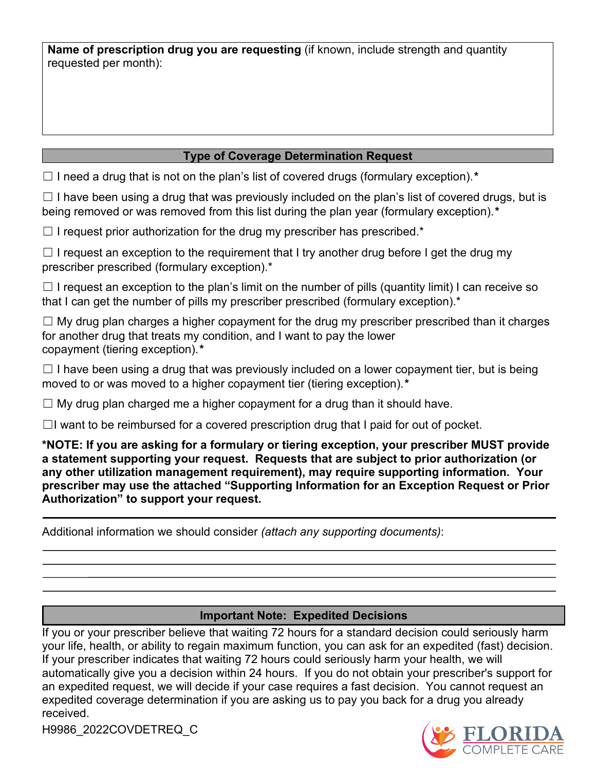requested per month): **Name of prescription drug you are requesting** (if known, include strength and quantity

## **Type of Coverage Determination Request**

☐ I need a drug that is not on the plan's list of covered drugs (formulary exception).*\** 

 being removed or was removed from this list during the plan year (formulary exception).*\**   $\Box$  I have been using a drug that was previously included on the plan's list of covered drugs, but is

 $\Box$  I request prior authorization for the drug my prescriber has prescribed.\*

 $\Box$  I request an exception to the requirement that I try another drug before I get the drug my prescriber prescribed (formulary exception).\*

 $\Box$  I request an exception to the plan's limit on the number of pills (quantity limit) I can receive so that I can get the number of pills my prescriber prescribed (formulary exception).<sup>\*</sup>

 $\Box$  My drug plan charges a higher copayment for the drug my prescriber prescribed than it charges for another drug that treats my condition, and I want to pay the lower copayment (tiering exception).*\**

 $\Box$  I have been using a drug that was previously included on a lower copayment tier, but is being moved to or was moved to a higher copayment tier (tiering exception).*\** 

 $\Box$  My drug plan charged me a higher copayment for a drug than it should have.

 $\Box$ I want to be reimbursed for a covered prescription drug that I paid for out of pocket.

 **\*NOTE: If you are asking for a formulary or tiering exception, your prescriber MUST provide a statement supporting your request. Requests that are subject to prior authorization (or prescriber may use the attached "Supporting Information for an Exception Request or Prior any other utilization management requirement), may require supporting information. Your Authorization" to support your request.** 

Additional information we should consider *(attach any supporting documents)*:

## **Important Note: Expedited Decisions**

 your life, health, or ability to regain maximum function, you can ask for an expedited (fast) decision. automatically give you a decision within 24 hours. If you do not obtain your prescriber's support for If you or your prescriber believe that waiting 72 hours for a standard decision could seriously harm If your prescriber indicates that waiting 72 hours could seriously harm your health, we will an expedited request, we will decide if your case requires a fast decision. You cannot request an expedited coverage determination if you are asking us to pay you back for a drug you already received.

H9986\_2022COVDETREQ\_C

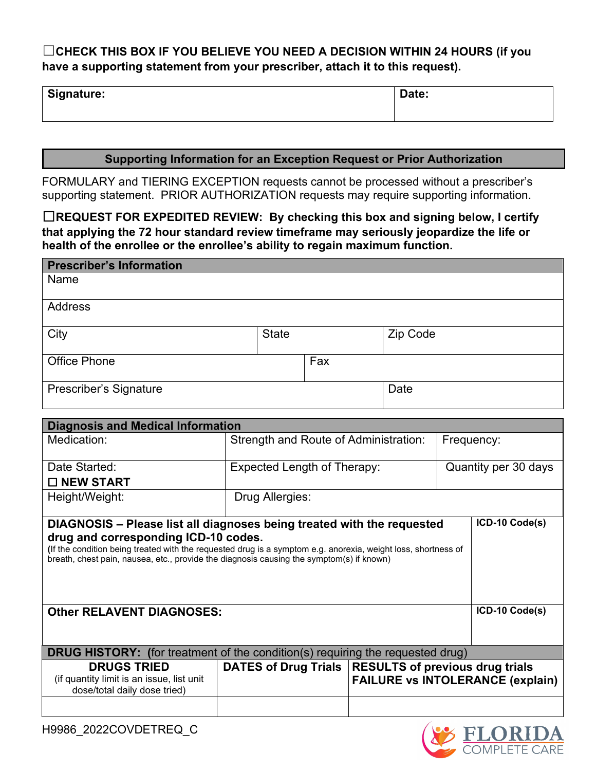# ☐**CHECK THIS BOX IF YOU BELIEVE YOU NEED A DECISION WITHIN 24 HOURS (if you have a supporting statement from your prescriber, attach it to this request).**

| Signature: | Date: |
|------------|-------|
|------------|-------|

### **Supporting Information for an Exception Request or Prior Authorization**

 supporting statement. PRIOR AUTHORIZATION requests may require supporting information. FORMULARY and TIERING EXCEPTION requests cannot be processed without a prescriber's

☐**REQUEST FOR EXPEDITED REVIEW: By checking this box and signing below, I certify that applying the 72 hour standard review timeframe may seriously jeopardize the life or health of the enrollee or the enrollee's ability to regain maximum function.** 

| <b>Prescriber's Information</b> |              |     |          |
|---------------------------------|--------------|-----|----------|
| Name                            |              |     |          |
| Address                         |              |     |          |
| City                            | <b>State</b> |     | Zip Code |
| <b>Office Phone</b>             |              | Fax |          |
| Prescriber's Signature          |              |     | Date     |

| <b>Diagnosis and Medical Information</b>                                                                                                                                                                                                          |                                                        |                      |                                         |  |  |
|---------------------------------------------------------------------------------------------------------------------------------------------------------------------------------------------------------------------------------------------------|--------------------------------------------------------|----------------------|-----------------------------------------|--|--|
| Medication:                                                                                                                                                                                                                                       | Strength and Route of Administration:                  |                      | Frequency:                              |  |  |
| Date Started:                                                                                                                                                                                                                                     | Expected Length of Therapy:                            | Quantity per 30 days |                                         |  |  |
| $\Box$ NEW START                                                                                                                                                                                                                                  |                                                        |                      |                                         |  |  |
| Height/Weight:                                                                                                                                                                                                                                    | Drug Allergies:                                        |                      |                                         |  |  |
| ICD-10 Code(s)<br>DIAGNOSIS – Please list all diagnoses being treated with the requested                                                                                                                                                          |                                                        |                      |                                         |  |  |
| drug and corresponding ICD-10 codes.<br>(If the condition being treated with the requested drug is a symptom e.g. anorexia, weight loss, shortness of<br>breath, chest pain, nausea, etc., provide the diagnosis causing the symptom(s) if known) |                                                        |                      |                                         |  |  |
| <b>Other RELAVENT DIAGNOSES:</b>                                                                                                                                                                                                                  | ICD-10 Code(s)                                         |                      |                                         |  |  |
|                                                                                                                                                                                                                                                   |                                                        |                      |                                         |  |  |
| <b>DRUG HISTORY:</b> (for treatment of the condition(s) requiring the requested drug)                                                                                                                                                             |                                                        |                      |                                         |  |  |
| <b>DRUGS TRIED</b>                                                                                                                                                                                                                                | DATES of Drug Trials   RESULTS of previous drug trials |                      |                                         |  |  |
| (if quantity limit is an issue, list unit<br>dose/total daily dose tried)                                                                                                                                                                         |                                                        |                      | <b>FAILURE vs INTOLERANCE (explain)</b> |  |  |
|                                                                                                                                                                                                                                                   |                                                        |                      |                                         |  |  |

H9986\_2022COVDETREQ\_C

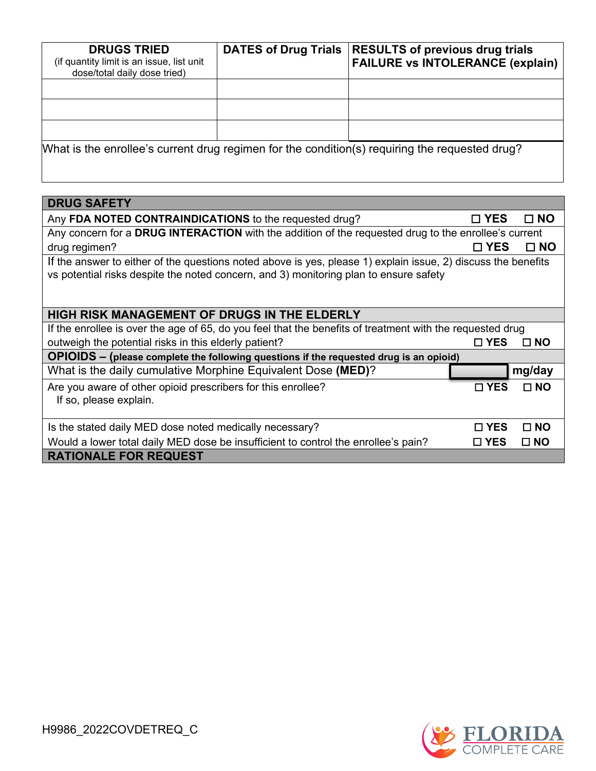| <b>DRUGS TRIED</b><br>(if quantity limit is an issue, list unit<br>dose/total daily dose tried) | <b>DATES of Drug Trials</b> | <b>RESULTS of previous drug trials</b><br><b>FAILURE vs INTOLERANCE (explain)</b>              |
|-------------------------------------------------------------------------------------------------|-----------------------------|------------------------------------------------------------------------------------------------|
|                                                                                                 |                             |                                                                                                |
|                                                                                                 |                             |                                                                                                |
|                                                                                                 |                             |                                                                                                |
|                                                                                                 |                             | What is the enrollee's current drug regimen for the condition(s) requiring the requested drug? |

| <b>DRUG SAFETY</b>                                                                                                                                                                                     |               |              |  |
|--------------------------------------------------------------------------------------------------------------------------------------------------------------------------------------------------------|---------------|--------------|--|
| Any FDA NOTED CONTRAINDICATIONS to the requested drug?                                                                                                                                                 | □ YES         | $\square$ NO |  |
| Any concern for a DRUG INTERACTION with the addition of the requested drug to the enrollee's current                                                                                                   |               |              |  |
| drug regimen?                                                                                                                                                                                          | $\square$ YES | □ NO         |  |
| If the answer to either of the questions noted above is yes, please 1) explain issue, 2) discuss the benefits<br>vs potential risks despite the noted concern, and 3) monitoring plan to ensure safety |               |              |  |
| <b>HIGH RISK MANAGEMENT OF DRUGS IN THE ELDERLY</b>                                                                                                                                                    |               |              |  |
| If the enrollee is over the age of 65, do you feel that the benefits of treatment with the requested drug                                                                                              |               |              |  |
| outweigh the potential risks in this elderly patient?                                                                                                                                                  | $\square$ YES | $\Box$ NO    |  |
| OPIOIDS - (please complete the following questions if the requested drug is an opioid)                                                                                                                 |               |              |  |
| What is the daily cumulative Morphine Equivalent Dose (MED)?                                                                                                                                           |               | mg/day       |  |
| Are you aware of other opioid prescribers for this enrollee?<br>If so, please explain.                                                                                                                 | □ YES         | $\Box$ NO    |  |
| Is the stated daily MED dose noted medically necessary?                                                                                                                                                | $\sqcap$ YES  | $\Box$ NO    |  |
| Would a lower total daily MED dose be insufficient to control the enrollee's pain?                                                                                                                     | $\square$ YES | $\square$ NO |  |
| <b>RATIONALE FOR REQUEST</b>                                                                                                                                                                           |               |              |  |